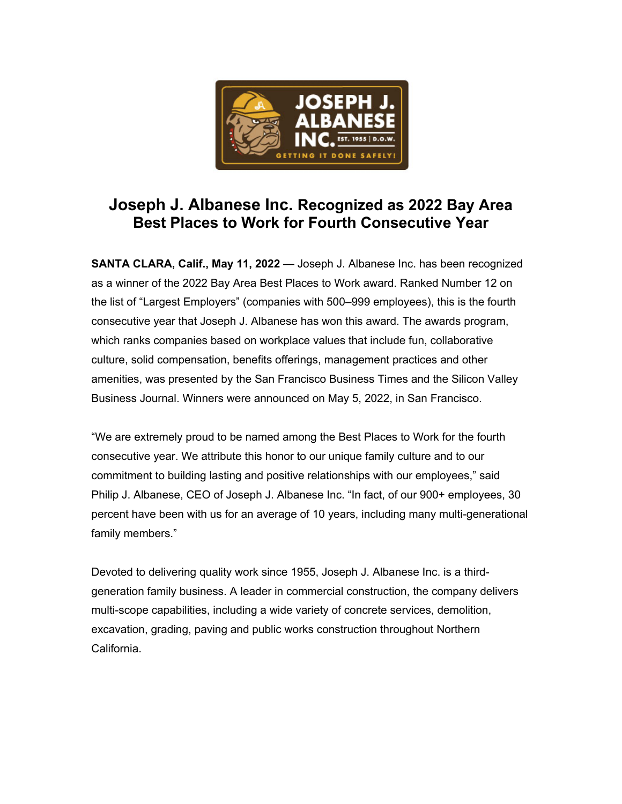

## **Joseph J. Albanese Inc. Recognized as 2022 Bay Area Best Places to Work for Fourth Consecutive Year**

**SANTA CLARA, Calif., May 11, 2022** — Joseph J. Albanese Inc. has been recognized as a winner of the 2022 Bay Area Best Places to Work award. Ranked Number 12 on the list of "Largest Employers" (companies with 500–999 employees), this is the fourth consecutive year that Joseph J. Albanese has won this award. The awards program, which ranks companies based on workplace values that include fun, collaborative culture, solid compensation, benefits offerings, management practices and other amenities, was presented by the San Francisco Business Times and the Silicon Valley Business Journal. Winners were announced on May 5, 2022, in San Francisco.

"We are extremely proud to be named among the Best Places to Work for the fourth consecutive year. We attribute this honor to our unique family culture and to our commitment to building lasting and positive relationships with our employees," said Philip J. Albanese, CEO of Joseph J. Albanese Inc. "In fact, of our 900+ employees, 30 percent have been with us for an average of 10 years, including many multi-generational family members."

Devoted to delivering quality work since 1955, Joseph J. Albanese Inc. is a thirdgeneration family business. A leader in commercial construction, the company delivers multi-scope capabilities, including a wide variety of concrete services, demolition, excavation, grading, paving and public works construction throughout Northern California.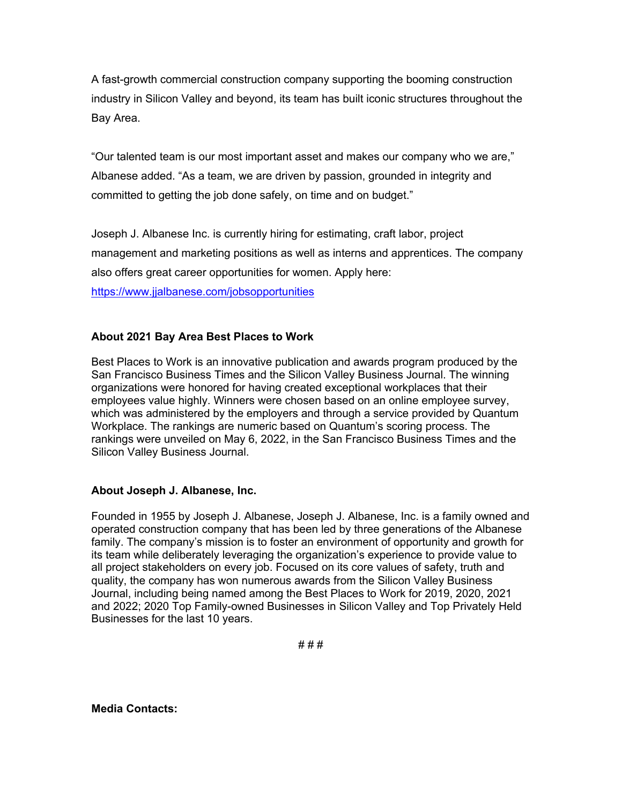A fast-growth commercial construction company supporting the booming construction industry in Silicon Valley and beyond, its team has built iconic structures throughout the Bay Area.

"Our talented team is our most important asset and makes our company who we are," Albanese added. "As a team, we are driven by passion, grounded in integrity and committed to getting the job done safely, on time and on budget."

Joseph J. Albanese Inc. is currently hiring for estimating, craft labor, project management and marketing positions as well as interns and apprentices. The company also offers great career opportunities for women. Apply here: https://www.jjalbanese.com/jobsopportunities

## **About 2021 Bay Area Best Places to Work**

Best Places to Work is an innovative publication and awards program produced by the San Francisco Business Times and the Silicon Valley Business Journal. The winning organizations were honored for having created exceptional workplaces that their employees value highly. Winners were chosen based on an online employee survey, which was administered by the employers and through a service provided by Quantum Workplace. The rankings are numeric based on Quantum's scoring process. The rankings were unveiled on May 6, 2022, in the San Francisco Business Times and the Silicon Valley Business Journal.

## **About Joseph J. Albanese, Inc.**

Founded in 1955 by Joseph J. Albanese, Joseph J. Albanese, Inc. is a family owned and operated construction company that has been led by three generations of the Albanese family. The company's mission is to foster an environment of opportunity and growth for its team while deliberately leveraging the organization's experience to provide value to all project stakeholders on every job. Focused on its core values of safety, truth and quality, the company has won numerous awards from the Silicon Valley Business Journal, including being named among the Best Places to Work for 2019, 2020, 2021 and 2022; 2020 Top Family-owned Businesses in Silicon Valley and Top Privately Held Businesses for the last 10 years.

# # #

**Media Contacts:**